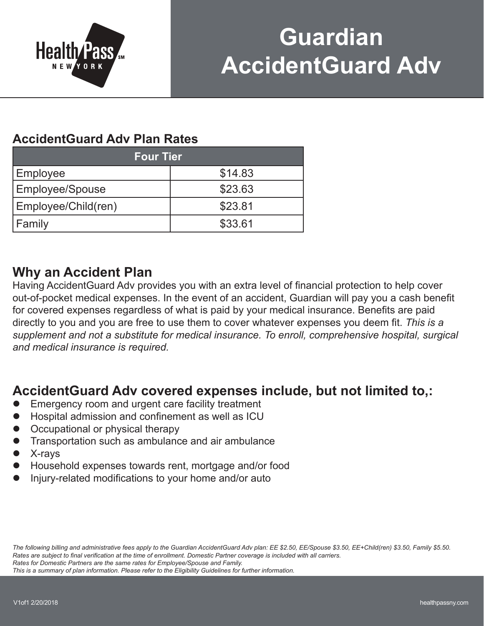

# **Guardian AccidentGuard Adv**

### **AccidentGuard Adv Plan Rates**

| <b>Four Tier</b>       |         |  |
|------------------------|---------|--|
| Employee               | \$14.83 |  |
| <b>Employee/Spouse</b> | \$23.63 |  |
| Employee/Child(ren)    | \$23.81 |  |
| Family                 | \$33.61 |  |

### **Why an Accident Plan**

Having AccidentGuard Adv provides you with an extra level of financial protection to help cover out-of-pocket medical expenses. In the event of an accident, Guardian will pay you a cash benefit for covered expenses regardless of what is paid by your medical insurance. Benefits are paid directly to you and you are free to use them to cover whatever expenses you deem fit. *This is a supplement and not a substitute for medical insurance. To enroll, comprehensive hospital, surgical and medical insurance is required.*

### **AccidentGuard Adv covered expenses include, but not limited to,:**

- Emergency room and urgent care facility treatment
- l Hospital admission and confinement as well as ICU
- Occupational or physical therapy
- Transportation such as ambulance and air ambulance
- l X-rays
- l Household expenses towards rent, mortgage and/or food
- l Injury-related modifications to your home and/or auto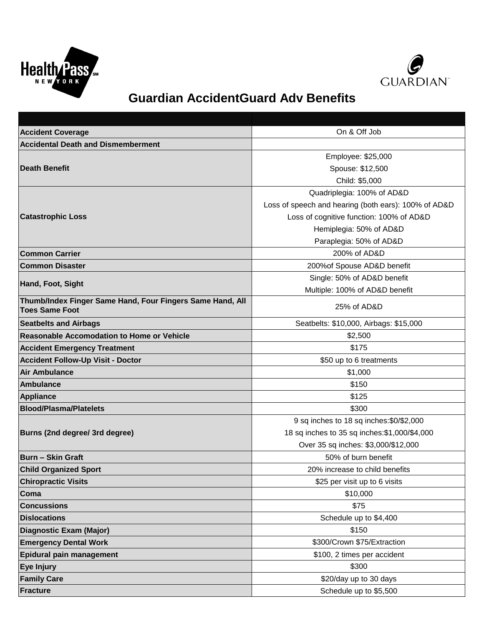



## **Guardian AccidentGuard Adv Benefits**

| <b>Accident Coverage</b>                                                           | On & Off Job                                         |
|------------------------------------------------------------------------------------|------------------------------------------------------|
| <b>Accidental Death and Dismemberment</b>                                          |                                                      |
|                                                                                    | Employee: \$25,000                                   |
| <b>Death Benefit</b>                                                               | Spouse: \$12,500                                     |
|                                                                                    | Child: \$5,000                                       |
|                                                                                    | Quadriplegia: 100% of AD&D                           |
|                                                                                    | Loss of speech and hearing (both ears): 100% of AD&D |
| <b>Catastrophic Loss</b>                                                           | Loss of cognitive function: 100% of AD&D             |
|                                                                                    | Hemiplegia: 50% of AD&D                              |
|                                                                                    | Paraplegia: 50% of AD&D                              |
| <b>Common Carrier</b>                                                              | 200% of AD&D                                         |
| <b>Common Disaster</b>                                                             | 200% of Spouse AD&D benefit                          |
| Hand, Foot, Sight                                                                  | Single: 50% of AD&D benefit                          |
|                                                                                    | Multiple: 100% of AD&D benefit                       |
| Thumb/Index Finger Same Hand, Four Fingers Same Hand, All<br><b>Toes Same Foot</b> | 25% of AD&D                                          |
| <b>Seatbelts and Airbags</b>                                                       | Seatbelts: \$10,000, Airbags: \$15,000               |
| <b>Reasonable Accomodation to Home or Vehicle</b>                                  | \$2,500                                              |
| <b>Accident Emergency Treatment</b>                                                | \$175                                                |
| <b>Accident Follow-Up Visit - Doctor</b>                                           | \$50 up to 6 treatments                              |
| <b>Air Ambulance</b>                                                               | \$1,000                                              |
| Ambulance                                                                          | \$150                                                |
| <b>Appliance</b>                                                                   | \$125                                                |
| <b>Blood/Plasma/Platelets</b>                                                      | \$300                                                |
|                                                                                    | 9 sq inches to 18 sq inches: \$0/\$2,000             |
| Burns (2nd degree/ 3rd degree)                                                     | 18 sq inches to 35 sq inches: \$1,000/\$4,000        |
|                                                                                    | Over 35 sq inches: \$3,000/\$12,000                  |
| <b>Burn - Skin Graft</b>                                                           | 50% of burn benefit                                  |
| <b>Child Organized Sport</b>                                                       | 20% increase to child benefits                       |
| <b>Chiropractic Visits</b>                                                         | \$25 per visit up to 6 visits                        |
| Coma                                                                               | \$10,000                                             |
| <b>Concussions</b>                                                                 | \$75                                                 |
| <b>Dislocations</b>                                                                | Schedule up to \$4,400                               |
| <b>Diagnostic Exam (Major)</b>                                                     | \$150                                                |
| <b>Emergency Dental Work</b>                                                       | \$300/Crown \$75/Extraction                          |
| Epidural pain management                                                           | \$100, 2 times per accident                          |
| Eye Injury                                                                         | \$300                                                |
| <b>Family Care</b>                                                                 | \$20/day up to 30 days                               |
| <b>Fracture</b>                                                                    | Schedule up to \$5,500                               |